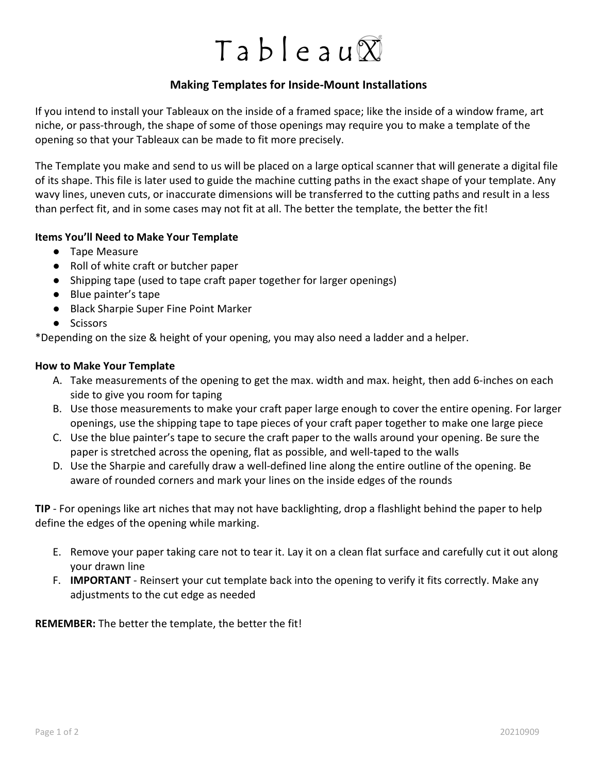# Tableau $\overline{X}$

## Making Templates for Inside-Mount Installations

If you intend to install your Tableaux on the inside of a framed space; like the inside of a window frame, art niche, or pass-through, the shape of some of those openings may require you to make a template of the opening so that your Tableaux can be made to fit more precisely.

The Template you make and send to us will be placed on a large optical scanner that will generate a digital file of its shape. This file is later used to guide the machine cutting paths in the exact shape of your template. Any wavy lines, uneven cuts, or inaccurate dimensions will be transferred to the cutting paths and result in a less than perfect fit, and in some cases may not fit at all. The better the template, the better the fit!

### Items You'll Need to Make Your Template

- Tape Measure
- Roll of white craft or butcher paper
- Shipping tape (used to tape craft paper together for larger openings)
- Blue painter's tape
- Black Sharpie Super Fine Point Marker
- Scissors

\*Depending on the size & height of your opening, you may also need a ladder and a helper.

#### How to Make Your Template

- A. Take measurements of the opening to get the max. width and max. height, then add 6-inches on each side to give you room for taping
- B. Use those measurements to make your craft paper large enough to cover the entire opening. For larger openings, use the shipping tape to tape pieces of your craft paper together to make one large piece
- C. Use the blue painter's tape to secure the craft paper to the walls around your opening. Be sure the paper is stretched across the opening, flat as possible, and well-taped to the walls
- D. Use the Sharpie and carefully draw a well-defined line along the entire outline of the opening. Be aware of rounded corners and mark your lines on the inside edges of the rounds

TIP - For openings like art niches that may not have backlighting, drop a flashlight behind the paper to help define the edges of the opening while marking.

- E. Remove your paper taking care not to tear it. Lay it on a clean flat surface and carefully cut it out along your drawn line
- F. **IMPORTANT** Reinsert your cut template back into the opening to verify it fits correctly. Make any adjustments to the cut edge as needed

REMEMBER: The better the template, the better the fit!